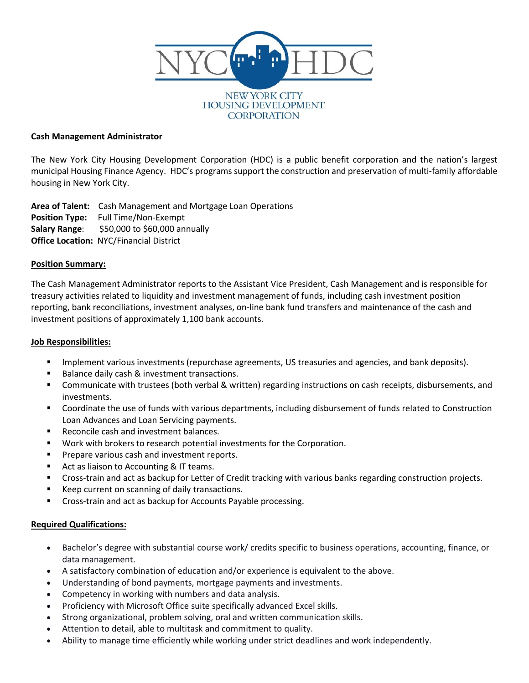

### **Cash Management Administrator**

The New York City Housing Development Corporation (HDC) is a public benefit corporation and the nation's largest municipal Housing Finance Agency. HDC's programs support the construction and preservation of multi-family affordable housing in New York City.

**Area of Talent:** Cash Management and Mortgage Loan Operations **Position Type:** Full Time/Non-Exempt **Salary Range**: \$50,000 to \$60,000 annually **Office Location:** NYC/Financial District

#### **Position Summary:**

The Cash Management Administrator reports to the Assistant Vice President, Cash Management and is responsible for treasury activities related to liquidity and investment management of funds, including cash investment position reporting, bank reconciliations, investment analyses, on-line bank fund transfers and maintenance of the cash and investment positions of approximately 1,100 bank accounts.

## **Job Responsibilities:**

- Implement various investments (repurchase agreements, US treasuries and agencies, and bank deposits).
- Balance daily cash & investment transactions.
- Communicate with trustees (both verbal & written) regarding instructions on cash receipts, disbursements, and investments.
- Coordinate the use of funds with various departments, including disbursement of funds related to Construction Loan Advances and Loan Servicing payments.
- Reconcile cash and investment balances.
- Work with brokers to research potential investments for the Corporation.
- **Prepare various cash and investment reports.**
- Act as liaison to Accounting & IT teams.
- Cross-train and act as backup for Letter of Credit tracking with various banks regarding construction projects.
- Keep current on scanning of daily transactions.
- Cross-train and act as backup for Accounts Payable processing.

#### **Required Qualifications:**

- Bachelor's degree with substantial course work/ credits specific to business operations, accounting, finance, or data management.
- A satisfactory combination of education and/or experience is equivalent to the above.
- Understanding of bond payments, mortgage payments and investments.
- Competency in working with numbers and data analysis.
- Proficiency with Microsoft Office suite specifically advanced Excel skills.
- Strong organizational, problem solving, oral and written communication skills.
- Attention to detail, able to multitask and commitment to quality.
- Ability to manage time efficiently while working under strict deadlines and work independently.